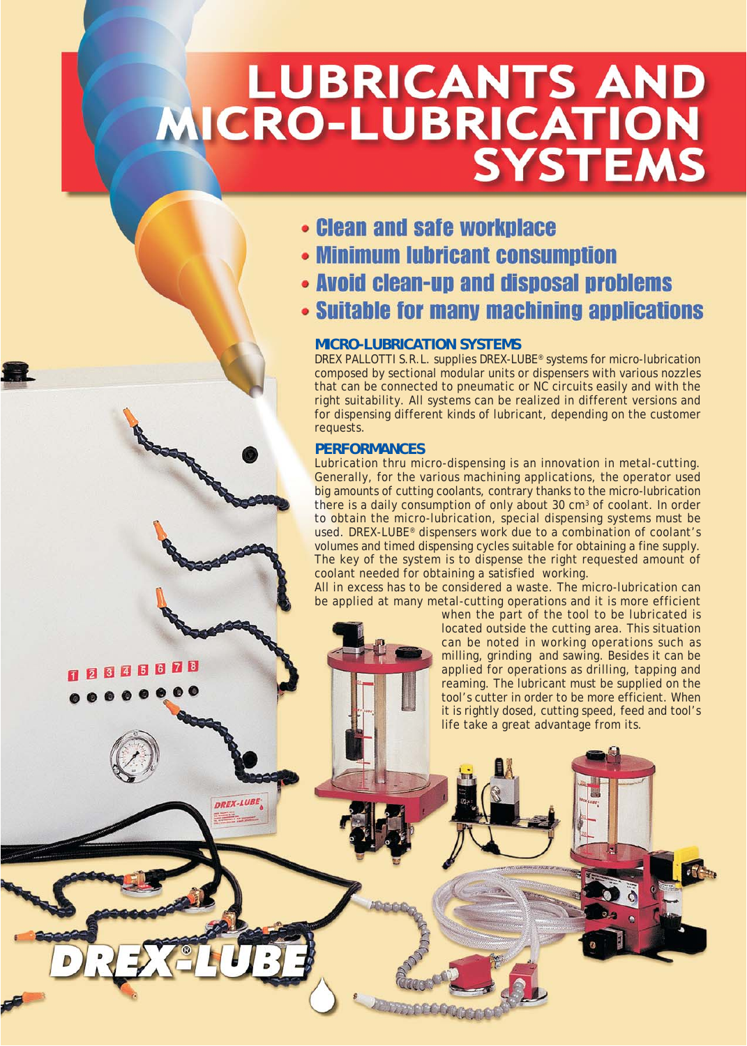# LUBRICANTS AND<br>MICRO-LUBRICATION<br>SYSTEMS

- **Clean and safe workplace**
- Minimum lubricant consumption
- Avoid clean-up and disposal problems
- Suitable for many machining applications

# **MICRO-LUBRICATION SYSTEMS**

DREX PALLOTTI S.R.L. supplies DREX-LUBE® systems for micro-lubrication composed by sectional modular units or dispensers with various nozzles that can be connected to pneumatic or NC circuits easily and with the right suitability. All systems can be realized in different versions and for dispensing different kinds of lubricant, depending on the customer requests.

# **PERFORMANCES**

**280800** 

**DREX-LUBL** 

Lubrication thru micro-dispensing is an innovation in metal-cutting. Generally, for the various machining applications, the operator used big amounts of cutting coolants, contrary thanks to the micro-lubrication there is a daily consumption of only about 30  $cm<sup>3</sup>$  of coolant. In order to obtain the micro-lubrication, special dispensing systems must be used. DREX-LUBE® dispensers work due to a combination of coolant's volumes and timed dispensing cycles suitable for obtaining a fine supply. The key of the system is to dispense the right requested amount of coolant needed for obtaining a satisfied working.

All in excess has to be considered a waste. The micro-lubrication can be applied at many metal-cutting operations and it is more efficient

when the part of the tool to be lubricated is located outside the cutting area. This situation can be noted in working operations such as milling, grinding and sawing. Besides it can be applied for operations as drilling, tapping and reaming. The lubricant must be supplied on the tool's cutter in order to be more efficient. When it is rightly dosed, cutting speed, feed and tool's life take a great advantage from its.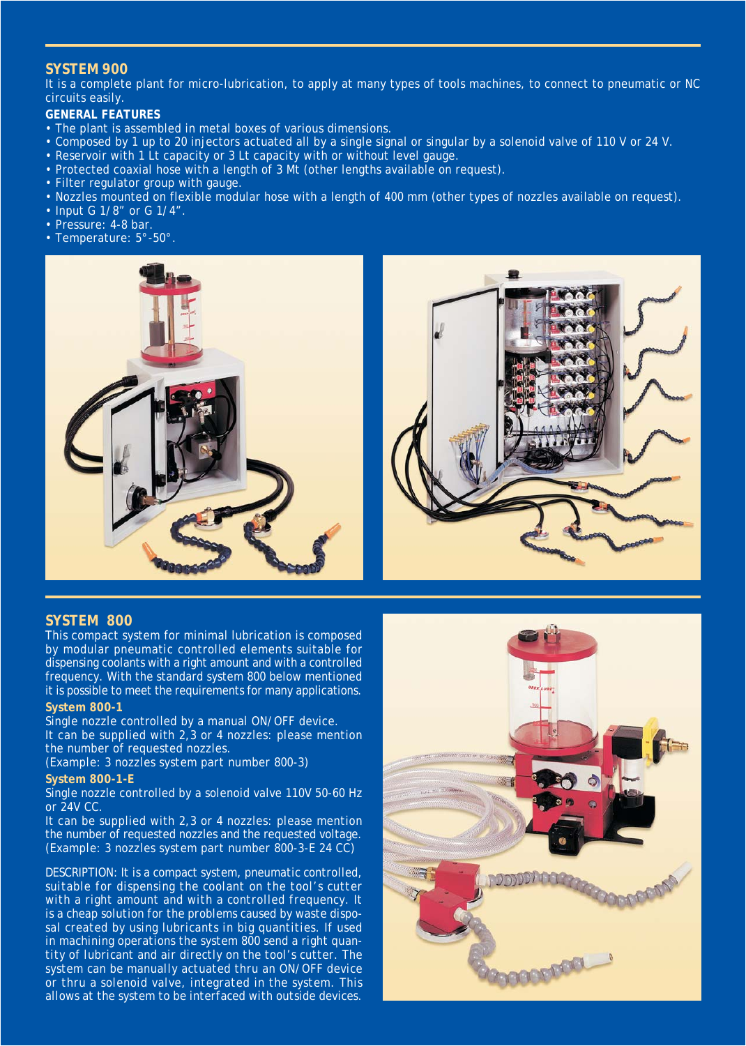## **SYSTEM 900**

It is a complete plant for micro-lubrication, to apply at many types of tools machines, to connect to pneumatic or NC circuits easily.

## **GENERAL FEATURES**

- The plant is assembled in metal boxes of various dimensions.
- Composed by 1 up to 20 injectors actuated all by a single signal or singular by a solenoid valve of 110 V or 24 V.
- Reservoir with 1 Lt capacity or 3 Lt capacity with or without level gauge.
- Protected coaxial hose with a length of 3 Mt (other lengths available on request).
- Filter regulator group with gauge.
- Nozzles mounted on flexible modular hose with a length of 400 mm (other types of nozzles available on request).
- Input G 1/8" or G 1/4".
- Pressure: 4-8 bar.
- Temperature: 5°-50°.





This compact system for minimal lubrication is composed by modular pneumatic controlled elements suitable for dispensing coolants with a right amount and with a controlled frequency. With the standard system 800 below mentioned it is possible to meet the requirements for many applications. **System 800-1**

Single nozzle controlled by a manual ON/OFF device.

It can be supplied with 2,3 or 4 nozzles: please mention the number of requested nozzles.

*(Example: 3 nozzles system part number 800-3)* **System 800-1-E**

Single nozzle controlled by a solenoid valve 110V 50-60 Hz or 24V CC.

It can be supplied with 2,3 or 4 nozzles: please mention the number of requested nozzles and the requested voltage. *(Example: 3 nozzles system part number 800-3-E 24 CC)*

*DESCRIPTION: It is a compact system, pneumatic controlled, suitable for dispensing the coolant on the tool's cutter with a right amount and with a controlled frequency. It is a cheap solution for the problems caused by waste disposal created by using lubricants in big quantities. If used in machining operations the system 800 send a right quantity of lubricant and air directly on the tool's cutter. The system can be manually actuated thru an ON/OFF device or thru a solenoid valve, integrated in the system. This allows at the system to be interfaced with outside devices.*



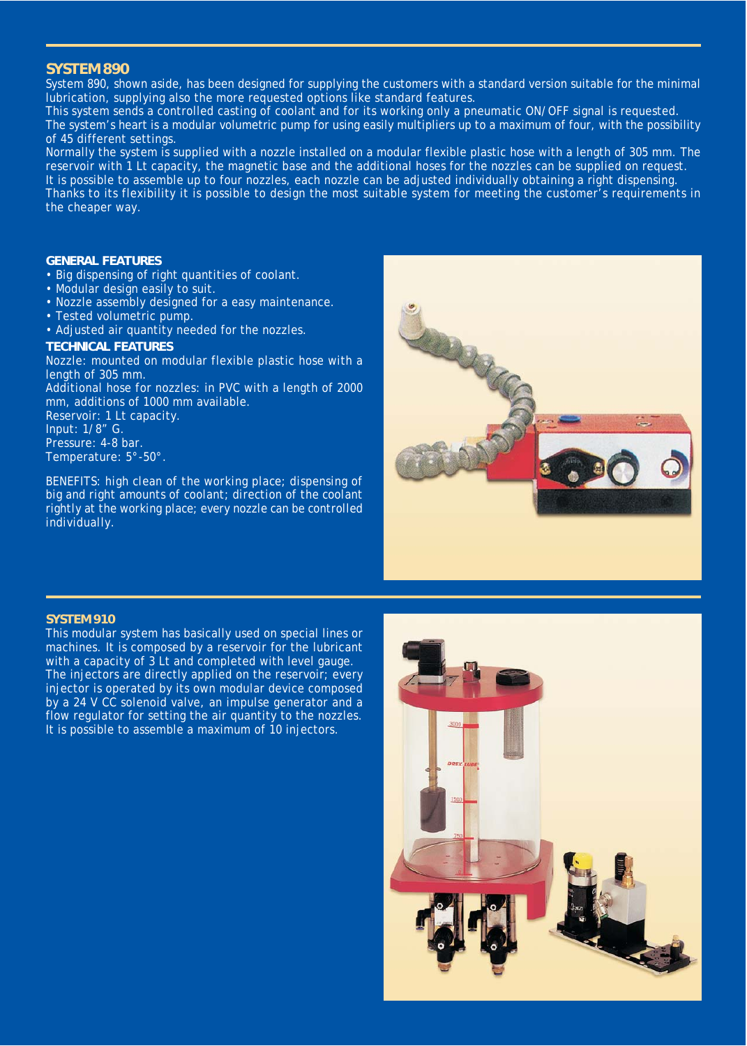## **SYSTEM 890**

System 890, shown aside, has been designed for supplying the customers with a standard version suitable for the minimal lubrication, supplying also the more requested options like standard features.

This system sends a controlled casting of coolant and for its working only a pneumatic ON/OFF signal is requested. The system's heart is a modular volumetric pump for using easily multipliers up to a maximum of four, with the possibility of 45 different settings.

Normally the system is supplied with a nozzle installed on a modular flexible plastic hose with a length of 305 mm. The reservoir with 1 Lt capacity, the magnetic base and the additional hoses for the nozzles can be supplied on request. It is possible to assemble up to four nozzles, each nozzle can be adjusted individually obtaining a right dispensing. Thanks to its flexibility it is possible to design the most suitable system for meeting the customer's requirements in the cheaper way.

## **GENERAL FEATURES**

- Big dispensing of right quantities of coolant.
- Modular design easily to suit.
- Nozzle assembly designed for a easy maintenance.
- Tested volumetric pump.
- Adjusted air quantity needed for the nozzles.

#### **TECHNICAL FEATURES**

Nozzle: mounted on modular flexible plastic hose with a length of 305 mm.

Additional hose for nozzles: in PVC with a length of 2000 mm, additions of 1000 mm available.

Reservoir: 1 Lt capacity. Input: 1/8" G. Pressure: 4-8 bar. Temperature: 5°-50°.

*BENEFITS: high clean of the working place; dispensing of big and right amounts of coolant; direction of the coolant rightly at the working place; every nozzle can be controlled individually.*



#### **SYSTEM 910**

This modular system has basically used on special lines or machines. It is composed by a reservoir for the lubricant with a capacity of 3 Lt and completed with level gauge. The injectors are directly applied on the reservoir; every injector is operated by its own modular device composed by a 24 V CC solenoid valve, an impulse generator and a flow regulator for setting the air quantity to the nozzles. It is possible to assemble a maximum of 10 injectors.